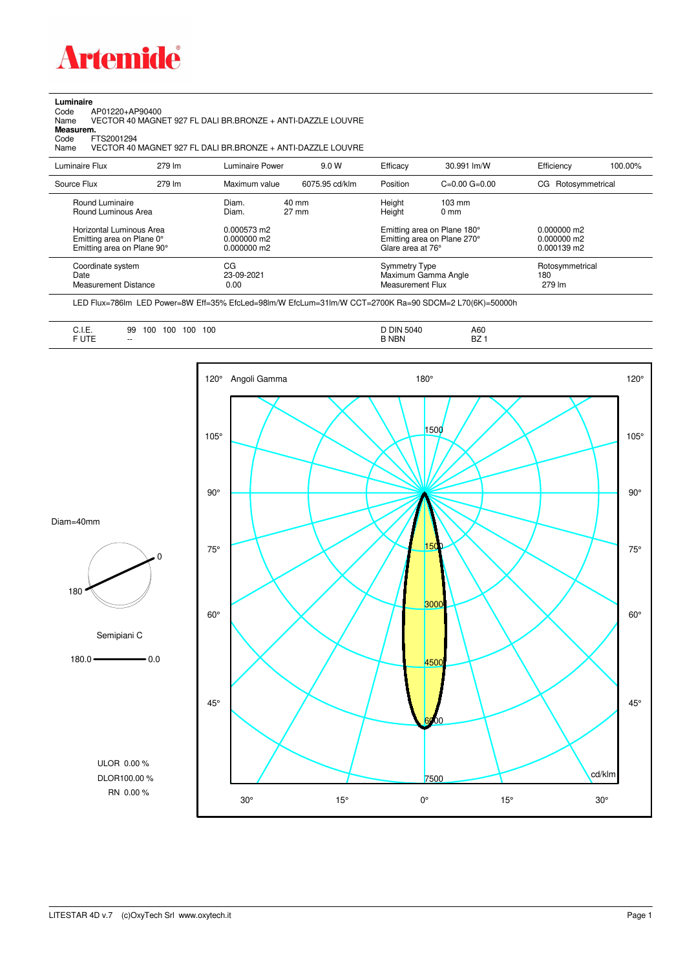

## **Luminaire**

Code AP01220+AP90400 Name VECTOR 40 MAGNET 927 FL DALI BR.BRONZE + ANTI-DAZZLE LOUVRE Code A<br>Name V<br>**Measurem.** 

Code FTS2001294<br>Name VECTOR 40 Name VECTOR 40 MAGNET 927 FL DALI BR.BRONZE + ANTI-DAZZLE LOUVRE

| Luminaire Flux                                                                                                                | 279 lm | Luminaire Power                                                 | 9.0 W                    | Efficacy                                 | 30.991 lm/W                                                                                                                               | Efficiency                       | 100.00% |
|-------------------------------------------------------------------------------------------------------------------------------|--------|-----------------------------------------------------------------|--------------------------|------------------------------------------|-------------------------------------------------------------------------------------------------------------------------------------------|----------------------------------|---------|
| Source Flux                                                                                                                   | 279 lm | Maximum value                                                   | 6075.95 cd/klm           | Position                                 | $C=0.00$ $G=0.00$                                                                                                                         | Rotosymmetrical<br>CG            |         |
| Round Luminaire<br>Round Luminous Area<br>Horizontal Luminous Area<br>Emitting area on Plane 0°<br>Emitting area on Plane 90° |        | Diam.<br>Diam.<br>0.000573 m2<br>$0.000000$ m2<br>$0.000000$ m2 | 40 mm<br>$27 \text{ mm}$ |                                          | Height<br>$103 \text{ mm}$<br>Height<br>$0 \text{ mm}$<br>Emitting area on Plane 180°<br>Emitting area on Plane 270°<br>Glare area at 76° |                                  |         |
| Coordinate system<br>Date<br><b>Measurement Distance</b>                                                                      |        | CG<br>23-09-2021<br>0.00                                        |                          | <b>Symmetry Type</b><br>Measurement Flux | Maximum Gamma Angle                                                                                                                       | Rotosymmetrical<br>180<br>279 lm |         |

LED Flux=786lm LED Power=8W Eff=35% EfcLed=98lm/W EfcLum=31lm/W CCT=2700K Ra=90 SDCM=2 L70(6K)=50000h